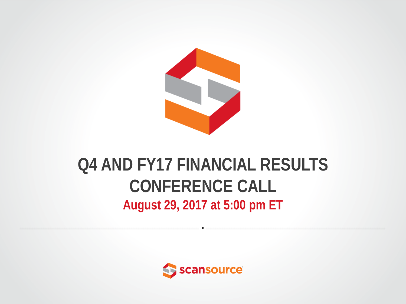

### **Q4 AND FY17 FINANCIAL RESULTS CONFERENCE CALL August 29, 2017 at 5:00 pm ET**

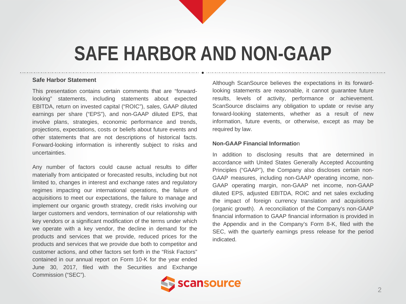### **SAFE HARBOR AND NON-GAAP**

#### **Safe Harbor Statement**

This presentation contains certain comments that are "forwardlooking" statements, including statements about expected EBITDA, return on invested capital ("ROIC"), sales, GAAP diluted earnings per share ("EPS"), and non-GAAP diluted EPS, that involve plans, strategies, economic performance and trends, projections, expectations, costs or beliefs about future events and other statements that are not descriptions of historical facts. Forward-looking information is inherently subject to risks and uncertainties.

Any number of factors could cause actual results to differ materially from anticipated or forecasted results, including but not limited to, changes in interest and exchange rates and regulatory regimes impacting our international operations, the failure of acquisitions to meet our expectations, the failure to manage and implement our organic growth strategy, credit risks involving our larger customers and vendors, termination of our relationship with key vendors or a significant modification of the terms under which we operate with a key vendor, the decline in demand for the products and services that we provide, reduced prices for the products and services that we provide due both to competitor and customer actions, and other factors set forth in the "Risk Factors" contained in our annual report on Form 10-K for the year ended June 30, 2017, filed with the Securities and Exchange Commission ("SEC").

Although ScanSource believes the expectations in its forwardlooking statements are reasonable, it cannot guarantee future results, levels of activity, performance or achievement. ScanSource disclaims any obligation to update or revise any forward-looking statements, whether as a result of new information, future events, or otherwise, except as may be required by law.

#### **Non-GAAP Financial Informatio**n

In addition to disclosing results that are determined in accordance with United States Generally Accepted Accounting Principles ("GAAP"), the Company also discloses certain non-GAAP measures, including non-GAAP operating income, non-GAAP operating margin, non-GAAP net income, non-GAAP diluted EPS, adjusted EBITDA, ROIC and net sales excluding the impact of foreign currency translation and acquisitions (organic growth). A reconciliation of the Company's non-GAAP financial information to GAAP financial information is provided in the Appendix and in the Company's Form 8-K, filed with the SEC, with the quarterly earnings press release for the period indicated.

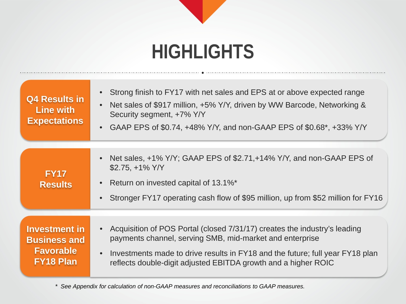### **HIGHLIGHTS**

| <b>Q4 Results in</b><br>Line with<br><b>Expectations</b>                            | Strong finish to FY17 with net sales and EPS at or above expected range<br>$\bullet$<br>Net sales of \$917 million, +5% Y/Y, driven by WW Barcode, Networking &<br>$\bullet$<br>Security segment, +7% Y/Y<br>• GAAP EPS of \$0.74, $+48\%$ Y/Y, and non-GAAP EPS of \$0.68*, $+33\%$ Y/Y              |
|-------------------------------------------------------------------------------------|-------------------------------------------------------------------------------------------------------------------------------------------------------------------------------------------------------------------------------------------------------------------------------------------------------|
| <b>FY17</b><br><b>Results</b>                                                       | Net sales, +1% Y/Y; GAAP EPS of \$2.71, +14% Y/Y, and non-GAAP EPS of<br>$\bullet$<br>$$2.75, +1\%$ Y/Y<br>Return on invested capital of 13.1%*<br>$\bullet$<br>Stronger FY17 operating cash flow of \$95 million, up from \$52 million for FY16<br>$\bullet$                                         |
| <b>Investment in</b><br><b>Business and</b><br><b>Favorable</b><br><b>FY18 Plan</b> | Acquisition of POS Portal (closed 7/31/17) creates the industry's leading<br>payments channel, serving SMB, mid-market and enterprise<br>Investments made to drive results in FY18 and the future; full year FY18 plan<br>$\bullet$<br>reflects double-digit adjusted EBITDA growth and a higher ROIC |

*\* See Appendix for calculation of non-GAAP measures and reconciliations to GAAP measures.*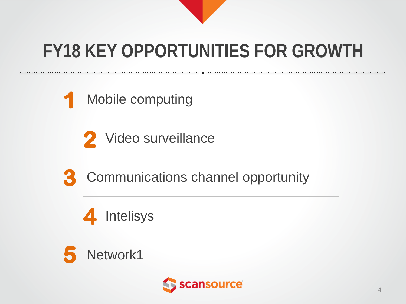

### **FY18 KEY OPPORTUNITIES FOR GROWTH**

Mobile computing

2 Video surveillance



Communications channel opportunity





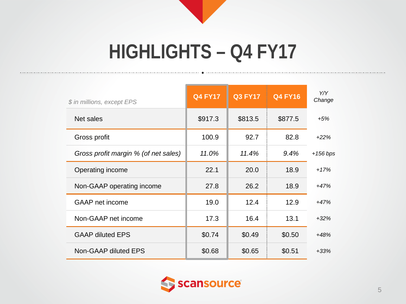# **HIGHLIGHTS – Q4 FY17**

| \$ in millions, except EPS           | <b>Q4 FY17</b> | <b>Q3 FY17</b> | <b>Q4 FY16</b> | Y/Y<br>Change |
|--------------------------------------|----------------|----------------|----------------|---------------|
| Net sales                            | \$917.3        | \$813.5        | \$877.5        | $+5%$         |
| Gross profit                         | 100.9          | 92.7           | 82.8           | $+22%$        |
| Gross profit margin % (of net sales) | 11.0%          | 11.4%          | 9.4%           | $+156$ bps    |
| Operating income                     | 22.1           | 20.0           | 18.9           | $+17%$        |
| Non-GAAP operating income            | 27.8           | 26.2           | 18.9           | $+47%$        |
| <b>GAAP</b> net income               | 19.0           | 12.4           | 12.9           | $+47%$        |
| Non-GAAP net income                  | 17.3           | 16.4           | 13.1           | $+32%$        |
| <b>GAAP diluted EPS</b>              | \$0.74         | \$0.49         | \$0.50         | $+48%$        |
| Non-GAAP diluted EPS                 | \$0.68         | \$0.65         | \$0.51         | $+33%$        |

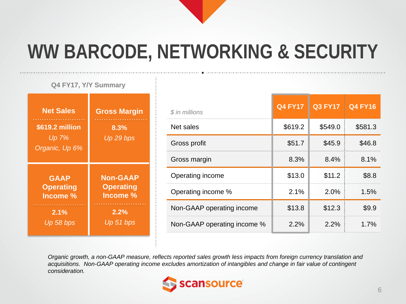

### **WW BARCODE, NETWORKING & SECURITY**

### **Non-GAAP Operating Income % 2.2%** *Up 51 bps* **Net Sales \$619.2 million** *Up 7% Organic, Up 6%* **Q4 FY17, Y/Y Summary GAAP Operating Income % 2.1%** *Up 58 bps* **Gross Margin 8.3%** *Up 29 bps*

| \$ in millions              | <b>Q4 FY17</b> | <b>Q3 FY17</b> | <b>Q4 FY16</b> |
|-----------------------------|----------------|----------------|----------------|
| Net sales                   | \$619.2        | \$549.0        | \$581.3        |
| Gross profit                | \$51.7         | \$45.9         | \$46.8         |
| Gross margin                | 8.3%           | 8.4%           | 8.1%           |
| Operating income            | \$13.0         | \$11.2         | \$8.8          |
| Operating income %          | 2.1%           | 2.0%           | 1.5%           |
| Non-GAAP operating income   | \$13.8         | \$12.3         | \$9.9          |
| Non-GAAP operating income % | 2.2%           | 2.2%           | 1.7%           |

*Organic growth, a non-GAAP measure, reflects reported sales growth less impacts from foreign currency translation and acquisitions. Non-GAAP operating income excludes amortization of intangibles and change in fair value of contingent consideration.*

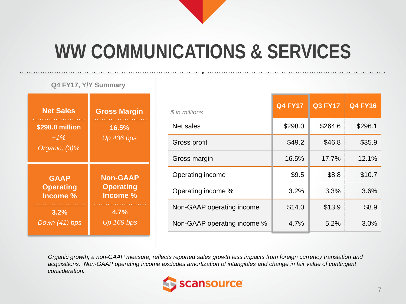

### **WW COMMUNICATIONS & SERVICES**

#### **Q4 FY17, Y/Y Summary**

| <b>Net Sales</b><br><b>The Committee Committee</b><br>\$298.0 million<br>$+1\%$<br>Organic, (3)% | <b>Gross Margin</b><br>16.5%<br><b>Up 436 bps</b> |
|--------------------------------------------------------------------------------------------------|---------------------------------------------------|
| <b>GAAP</b>                                                                                      | <b>Non-GAAP</b>                                   |
| <b>Operating</b>                                                                                 | <b>Operating</b>                                  |
| Income <sub>%</sub>                                                                              | Income %                                          |
| 3.2%                                                                                             | 4.7%                                              |
| Down (41) bps                                                                                    | Up 169 bps                                        |

| \$ in millions              | <b>Q4 FY17</b> | <b>Q3 FY17</b> | <b>Q4 FY16</b> |
|-----------------------------|----------------|----------------|----------------|
| Net sales                   | \$298.0        | \$264.6        | \$296.1        |
| Gross profit                | \$49.2         | \$46.8         | \$35.9         |
| Gross margin                | 16.5%          | 17.7%          | 12.1%          |
| Operating income            | \$9.5          | \$8.8          | \$10.7         |
| Operating income %          | 3.2%           | 3.3%           | 3.6%           |
| Non-GAAP operating income   | \$14.0         | \$13.9         | \$8.9          |
| Non-GAAP operating income % | 4.7%           | 5.2%           | 3.0%           |

*Organic growth, a non-GAAP measure, reflects reported sales growth less impacts from foreign currency translation and acquisitions. Non-GAAP operating income excludes amortization of intangibles and change in fair value of contingent consideration.*

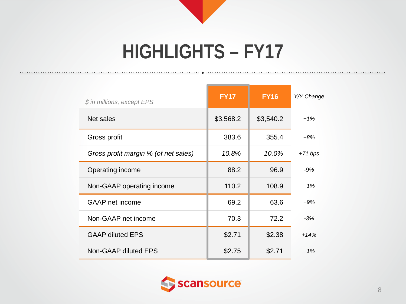## **HIGHLIGHTS – FY17**

| \$ in millions, except EPS           | <b>FY17</b> | <b>FY16</b> | Y/Y Change |
|--------------------------------------|-------------|-------------|------------|
| Net sales                            | \$3,568.2   | \$3,540.2   | $+1%$      |
| Gross profit                         | 383.6       | 355.4       | $+8%$      |
| Gross profit margin % (of net sales) | 10.8%       | 10.0%       | $+71 bps$  |
| Operating income                     | 88.2        | 96.9        | $-9%$      |
| Non-GAAP operating income            | 110.2       | 108.9       | $+1%$      |
| GAAP net income                      | 69.2        | 63.6        | $+9%$      |
| Non-GAAP net income                  | 70.3        | 72.2        | $-3%$      |
| <b>GAAP diluted EPS</b>              | \$2.71      | \$2.38      | $+14%$     |
| Non-GAAP diluted EPS                 | \$2.75      | \$2.71      | $+1%$      |

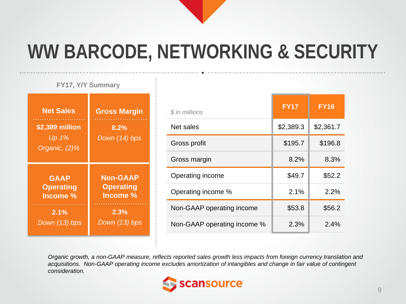

### **WW BARCODE, NETWORKING & SECURITY**

**FY17, Y/Y Summary**

| <b>Net Sales</b>                          | <b>Gross Margin</b>                 |
|-------------------------------------------|-------------------------------------|
| \$2,389 million<br>Up 1%<br>Organic, (2)% | 8.2%<br>Down (14) bps               |
| <b>GAAP</b><br><b>Operating</b>           | <b>Non-GAAP</b><br><b>Operating</b> |
| Income %                                  | Income %                            |

| $$$ in millions             | <b>FY17</b> | <b>FY16</b> |
|-----------------------------|-------------|-------------|
| Net sales                   | \$2,389.3   | \$2,361.7   |
| Gross profit                | \$195.7     | \$196.8     |
| Gross margin                | 8.2%        | 8.3%        |
| Operating income            | \$49.7      | \$52.2      |
| Operating income %          | 2.1%        | 2.2%        |
| Non-GAAP operating income   | \$53.8      | \$56.2      |
| Non-GAAP operating income % | 2.3%        | 2.4%        |

*Organic growth, a non-GAAP measure, reflects reported sales growth less impacts from foreign currency translation and acquisitions. Non-GAAP operating income excludes amortization of intangibles and change in fair value of contingent consideration.*

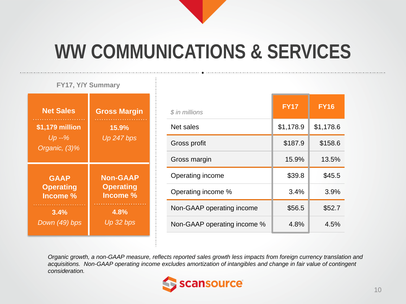

### **WW COMMUNICATIONS & SERVICES**

#### **FY17, Y/Y Summary**

| <b>Net Sales</b><br>\$1,179 million<br>$Up -\%$<br>Organic, (3)% | <b>Gross Margin</b><br>15.9%<br>Up 247 bps |
|------------------------------------------------------------------|--------------------------------------------|
| <b>GAAP</b>                                                      | <b>Non-GAAP</b>                            |
| <b>Operating</b>                                                 | <b>Operating</b>                           |
| Income %                                                         | Income %                                   |
| 3.4%                                                             | 4.8%                                       |
| Down (49) bps                                                    | Up 32 bps                                  |

| \$ in millions              | <b>FY17</b> | <b>FY16</b> |
|-----------------------------|-------------|-------------|
| Net sales                   | \$1,178.9   | \$1,178.6   |
| Gross profit                | \$187.9     | \$158.6     |
| Gross margin                | 15.9%       | 13.5%       |
| Operating income            | \$39.8      | \$45.5      |
| Operating income %          | 3.4%        | 3.9%        |
| Non-GAAP operating income   | \$56.5      | \$52.7      |
| Non-GAAP operating income % | 4.8%        | 4.5%        |

*Organic growth, a non-GAAP measure, reflects reported sales growth less impacts from foreign currency translation and acquisitions. Non-GAAP operating income excludes amortization of intangibles and change in fair value of contingent consideration.*

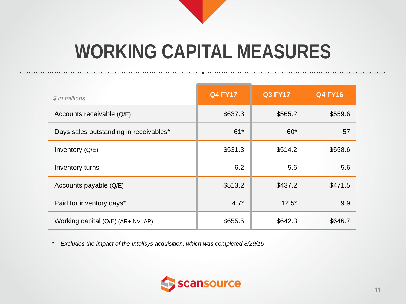

### **WORKING CAPITAL MEASURES**

| \$ in millions                         | <b>Q4 FY17</b> | <b>Q3 FY17</b> | <b>Q4 FY16</b> |
|----------------------------------------|----------------|----------------|----------------|
| Accounts receivable (Q/E)              | \$637.3        | \$565.2        | \$559.6        |
| Days sales outstanding in receivables* | $61*$          | $60*$          | 57             |
| Inventory (Q/E)                        | \$531.3        | \$514.2        | \$558.6        |
| Inventory turns                        | 6.2            | 5.6            | 5.6            |
| Accounts payable (Q/E)                 | \$513.2        | \$437.2        | \$471.5        |
| Paid for inventory days*               | $4.7*$         | $12.5*$        | 9.9            |
| Working capital (Q/E) (AR+INV-AP)      | \$655.5        | \$642.3        | \$646.7        |

*\* Excludes the impact of the Intelisys acquisition, which was completed 8/29/16*

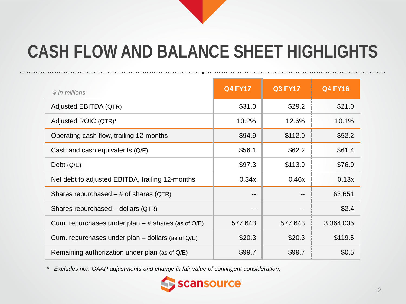### **CASH FLOW AND BALANCE SHEET HIGHLIGHTS**

| \$ in millions                                         | <b>Q4 FY17</b> | <b>Q3 FY17</b> | <b>Q4 FY16</b> |
|--------------------------------------------------------|----------------|----------------|----------------|
| Adjusted EBITDA (QTR)                                  | \$31.0         | \$29.2         | \$21.0         |
| Adjusted ROIC (QTR)*                                   | 13.2%          | 12.6%          | 10.1%          |
| Operating cash flow, trailing 12-months                | \$94.9         | \$112.0        | \$52.2         |
| Cash and cash equivalents $(Q/E)$                      | \$56.1         | \$62.2         | \$61.4         |
| Debt $(Q/E)$                                           | \$97.3         | \$113.9        | \$76.9         |
| Net debt to adjusted EBITDA, trailing 12-months        | 0.34x          | 0.46x          | 0.13x          |
| Shares repurchased $-$ # of shares (QTR)               | --             |                | 63,651         |
| Shares repurchased – dollars (QTR)                     | --             | --             | \$2.4          |
| Cum. repurchases under plan $-$ # shares (as of Q/E)   | 577,643        | 577,643        | 3,364,035      |
| Cum. repurchases under plan $-$ dollars (as of $Q/E$ ) | \$20.3         | \$20.3         | \$119.5        |
| Remaining authorization under plan (as of Q/E)         | \$99.7         | \$99.7         | \$0.5          |

*\* Excludes non-GAAP adjustments and change in fair value of contingent consideration.*

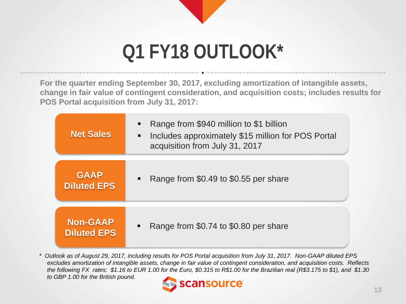

### **Q1 FY18 OUTLOOK\***

**For the quarter ending September 30, 2017, excluding amortization of intangible assets, change in fair value of contingent consideration, and acquisition costs; includes results for POS Portal acquisition from July 31, 2017:**

| <b>Net Sales</b>                      | Range from \$940 million to \$1 billion<br>$\blacksquare$<br>Includes approximately \$15 million for POS Portal<br>п<br>acquisition from July 31, 2017 |
|---------------------------------------|--------------------------------------------------------------------------------------------------------------------------------------------------------|
| <b>GAAP</b><br><b>Diluted EPS</b>     | Range from \$0.49 to \$0.55 per share<br>$\blacksquare$                                                                                                |
| <b>Non-GAAP</b><br><b>Diluted EPS</b> | Range from \$0.74 to \$0.80 per share                                                                                                                  |

*\* Outlook as of August 29, 2017, including results for POS Portal acquisition from July 31, 2017. Non-GAAP diluted EPS excludes amortization of intangible assets, change in fair value of contingent consideration, and acquisition costs. Reflects the following FX rates: \$1.16 to EUR 1.00 for the Euro, \$0.315 to R\$1.00 for the Brazilian real (R\$3.175 to \$1), and \$1.30 to GBP 1.00 for the British pound.*

ansource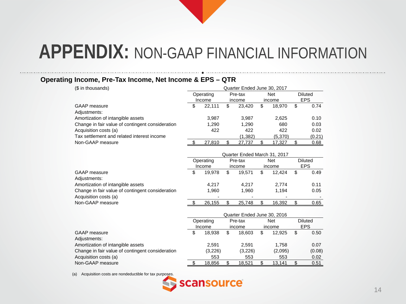#### **Operating Income, Pre-Tax Income, Net Income & EPS – QTR**

| (\$ in thousands)                                | Quarter Ended June 30, 2017 |           |         |                              |            |            |    |                |  |
|--------------------------------------------------|-----------------------------|-----------|---------|------------------------------|------------|------------|----|----------------|--|
|                                                  |                             | Operating |         | Pre-tax                      |            | <b>Net</b> |    | <b>Diluted</b> |  |
|                                                  |                             | Income    |         | income                       |            | income     |    | <b>EPS</b>     |  |
| <b>GAAP</b> measure                              | \$                          | 22,111    | \$      | 23,420                       | \$         | 18,970     | \$ | 0.74           |  |
| Adjustments:                                     |                             |           |         |                              |            |            |    |                |  |
| Amortization of intangible assets                |                             | 3,987     |         | 3,987                        |            | 2,625      |    | 0.10           |  |
| Change in fair value of contingent consideration |                             | 1,290     |         | 1,290                        |            | 680        |    | 0.03           |  |
| Acquisition costs (a)                            |                             | 422       |         | 422                          |            | 422        |    | 0.02           |  |
| Tax settlement and related interest income       |                             |           |         | (1, 382)                     |            | (5,370)    |    | (0.21)         |  |
| Non-GAAP measure                                 | \$                          | 27,810    | \$      | 27,737                       | \$         | 17,327     | \$ | 0.68           |  |
|                                                  |                             |           |         |                              |            |            |    |                |  |
|                                                  |                             |           |         | Quarter Ended March 31, 2017 |            |            |    |                |  |
|                                                  |                             | Operating | Pre-tax |                              | <b>Net</b> |            |    | <b>Diluted</b> |  |
|                                                  |                             | Income    |         | income                       |            | income     |    | <b>EPS</b>     |  |
| <b>GAAP</b> measure                              | \$                          | 19,978    | \$      | 19,571                       | \$         | 12,424     | \$ | 0.49           |  |
| Adjustments:                                     |                             |           |         |                              |            |            |    |                |  |
| Amortization of intangible assets                |                             | 4,217     |         | 4,217                        |            | 2,774      |    | 0.11           |  |
| Change in fair value of contingent consideration |                             | 1,960     |         | 1,960                        |            | 1,194      |    | 0.05           |  |
| Acquisition costs (a)                            |                             |           |         |                              |            |            |    |                |  |
| Non-GAAP measure                                 | \$                          | 26,155    | \$      | 25,748                       | \$         | 16,392     | \$ | 0.65           |  |
|                                                  |                             |           |         |                              |            |            |    |                |  |
|                                                  |                             |           |         | Quarter Ended June 30, 2016  |            |            |    |                |  |
|                                                  |                             | Operating |         | Pre-tax                      |            | <b>Net</b> |    | <b>Diluted</b> |  |
|                                                  |                             | Income    |         | income                       |            | income     |    | <b>EPS</b>     |  |
| <b>GAAP</b> measure                              | \$                          | 18,938    | \$      | 18,603                       | \$         | 12,925     | \$ | 0.50           |  |
| Adjustments:                                     |                             |           |         |                              |            |            |    |                |  |
| Amortization of intangible assets                |                             | 2,591     |         | 2,591                        |            | 1,758      |    | 0.07           |  |
| Change in fair value of contingent consideration |                             | (3,226)   |         | (3,226)                      |            | (2,095)    |    | (0.08)         |  |
| Acquisition costs (a)                            |                             | 553       |         | 553                          |            | 553        |    | 0.02           |  |
| Non-GAAP measure                                 | \$                          | 18,856    | \$      | 18,521                       | \$         | 13,141     | \$ | 0.51           |  |

(a) Acquisition costs are nondeductible for tax purposes.

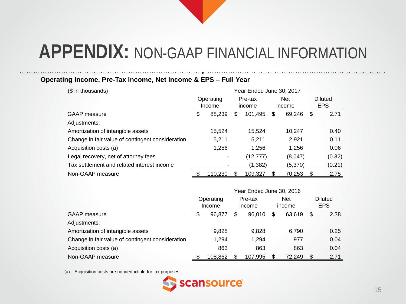#### **Operating Income, Pre-Tax Income, Net Income & EPS – Full Year**

| (\$ in thousands)                                | Year Ended June 30, 2017 |                     |                   |           |                      |         |   |                       |  |
|--------------------------------------------------|--------------------------|---------------------|-------------------|-----------|----------------------|---------|---|-----------------------|--|
|                                                  |                          | Operating<br>Income | Pre-tax<br>income |           | <b>Net</b><br>income |         |   | Diluted<br><b>EPS</b> |  |
| <b>GAAP</b> measure                              | \$                       | 88,239              | \$                | 101,495   | \$                   | 69,246  | S | 2.71                  |  |
| Adjustments:                                     |                          |                     |                   |           |                      |         |   |                       |  |
| Amortization of intangible assets                |                          | 15,524              |                   | 15.524    |                      | 10,247  |   | 0.40                  |  |
| Change in fair value of contingent consideration |                          | 5,211               |                   | 5.211     |                      | 2,921   |   | 0.11                  |  |
| Acquisition costs (a)                            |                          | 1,256               |                   | 1,256     |                      | 1,256   |   | 0.06                  |  |
| Legal recovery, net of attorney fees             |                          |                     |                   | (12, 777) |                      | (8,047) |   | (0.32)                |  |
| Tax settlement and related interest income       |                          |                     |                   | (1,382)   |                      | (5,370) |   | (0.21)                |  |
| Non-GAAP measure                                 |                          | 110.230             | \$.               | 109,327   |                      | 70,253  | S | 2.75                  |  |

|                                                  | Year Ended June 30, 2016 |                     |                   |         |                      |        |    |                              |  |  |
|--------------------------------------------------|--------------------------|---------------------|-------------------|---------|----------------------|--------|----|------------------------------|--|--|
|                                                  |                          | Operating<br>Income | Pre-tax<br>income |         | <b>Net</b><br>income |        |    | <b>Diluted</b><br><b>EPS</b> |  |  |
| <b>GAAP</b> measure                              | \$                       | 96.877              |                   | 96.010  | \$                   | 63.619 | \$ | 2.38                         |  |  |
| Adjustments:                                     |                          |                     |                   |         |                      |        |    |                              |  |  |
| Amortization of intangible assets                |                          | 9,828               |                   | 9,828   |                      | 6,790  |    | 0.25                         |  |  |
| Change in fair value of contingent consideration |                          | 1.294               |                   | 1,294   |                      | 977    |    | 0.04                         |  |  |
| Acquisition costs (a)                            |                          | 863                 |                   | 863     |                      | 863    |    | 0.04                         |  |  |
| Non-GAAP measure                                 |                          | 108,862             |                   | 107,995 |                      | 72,249 | S  | 2.71                         |  |  |

(a) Acquisition costs are nondeductible for tax purposes.

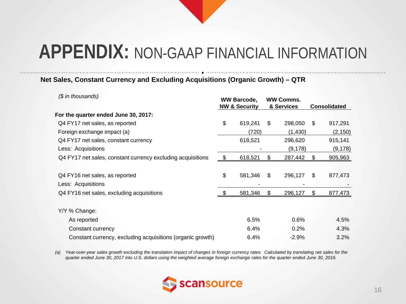#### **Net Sales, Constant Currency and Excluding Acquisitions (Organic Growth) – QTR**

| (\$ in thousands)                                           | <b>WW Barcode,</b><br><b>NW &amp; Security</b> |         |     | <b>WW Comms.</b><br>& Services |     | <b>Consolidated</b> |
|-------------------------------------------------------------|------------------------------------------------|---------|-----|--------------------------------|-----|---------------------|
| For the quarter ended June 30, 2017:                        |                                                |         |     |                                |     |                     |
| Q4 FY17 net sales, as reported                              | \$                                             | 619,241 | \$  | 298,050                        | S   | 917,291             |
| Foreign exchange impact (a)                                 |                                                | (720)   |     | (1, 430)                       |     | (2, 150)            |
| Q4 FY17 net sales, constant currency                        |                                                | 618,521 |     | 296,620                        |     | 915,141             |
| Less: Acquisitions                                          |                                                |         |     | (9, 178)                       |     | (9, 178)            |
| Q4 FY17 net sales, constant currency excluding acquisitions | \$                                             | 618,521 | \$. | 287,442                        |     | 905,963             |
|                                                             |                                                |         |     |                                |     |                     |
| Q4 FY16 net sales, as reported                              | \$                                             | 581,346 | \$  | 296,127                        | \$. | 877,473             |
| Less: Acquisitions                                          |                                                |         |     |                                |     |                     |
| Q4 FY16 net sales, excluding acquisitions                   | -\$                                            | 581,346 | \$  | 296,127                        | S   | 877,473             |
| Y/Y % Change:                                               |                                                |         |     |                                |     |                     |
| As reported                                                 |                                                | 6.5%    |     | 0.6%                           |     | 4.5%                |
| Constant currency                                           |                                                | 6.4%    |     | 0.2%                           |     | 4.3%                |
| Constant currency, excluding acquisitions (organic growth)  |                                                | 6.4%    |     | $-2.9%$                        |     | 3.2%                |

*(a) Year-over-year sales growth excluding the translation impact of changes in foreign currency rates. Calculated by translating net sales for the quarter ended June 30, 2017 into U.S. dollars using the weighted average foreign exchange rates for the quarter ended June 30, 2016.*

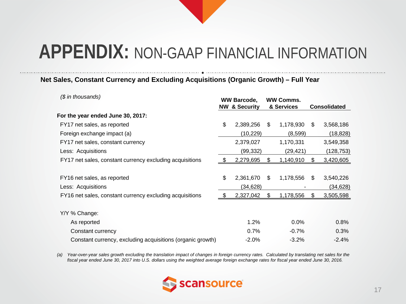#### **Net Sales, Constant Currency and Excluding Acquisitions (Organic Growth) – Full Year**

| (\$ in thousands)                                          |                | <b>WW Barcode,</b><br><b>NW &amp; Security</b> |     | <b>WW Comms.</b><br>& Services |     | <b>Consolidated</b> |
|------------------------------------------------------------|----------------|------------------------------------------------|-----|--------------------------------|-----|---------------------|
| For the year ended June 30, 2017:                          |                |                                                |     |                                |     |                     |
| FY17 net sales, as reported                                | \$             | 2,389,256                                      | \$  | 1,178,930                      | \$. | 3,568,186           |
| Foreign exchange impact (a)                                |                | (10, 229)                                      |     | (8,599)                        |     | (18, 828)           |
| FY17 net sales, constant currency                          |                | 2,379,027                                      |     | 1,170,331                      |     | 3,549,358           |
| Less: Acquisitions                                         |                | (99, 332)                                      |     | (29, 421)                      |     | (128, 753)          |
| FY17 net sales, constant currency excluding acquisitions   | - \$           | 2,279,695                                      | \$. | 1,140,910                      | S   | 3,420,605           |
|                                                            |                |                                                |     |                                |     |                     |
| FY16 net sales, as reported                                | \$             | 2,361,670                                      | \$  | 1,178,556                      | \$  | 3,540,226           |
| Less: Acquisitions                                         |                | (34, 628)                                      |     |                                |     | (34, 628)           |
| FY16 net sales, constant currency excluding acquisitions   | $\mathfrak{L}$ | 2,327,042                                      | \$  | 1,178,556                      | \$  | 3,505,598           |
|                                                            |                |                                                |     |                                |     |                     |
| Y/Y % Change:                                              |                |                                                |     |                                |     |                     |
| As reported                                                |                | 1.2%                                           |     | 0.0%                           |     | 0.8%                |
| Constant currency                                          |                | 0.7%                                           |     | $-0.7%$                        |     | 0.3%                |
| Constant currency, excluding acquisitions (organic growth) |                | $-2.0%$                                        |     | $-3.2%$                        |     | $-2.4%$             |

*(a) Year-over-year sales growth excluding the translation impact of changes in foreign currency rates. Calculated by translating net sales for the fiscal year ended June 30, 2017 into U.S. dollars using the weighted average foreign exchange rates for fiscal year ended June 30, 2016.*

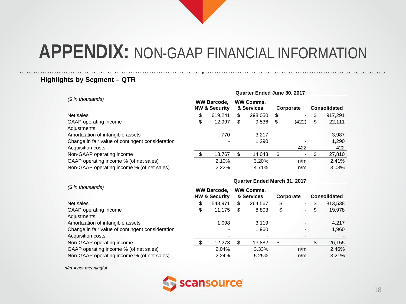#### **Highlights by Segment – QTR**

|                                                  | Quarter Ended June 30, 2017                    |                                                |    |                                |    |           |    |                     |  |  |  |  |  |
|--------------------------------------------------|------------------------------------------------|------------------------------------------------|----|--------------------------------|----|-----------|----|---------------------|--|--|--|--|--|
| (\$ in thousands)                                | <b>WW Barcode,</b><br><b>NW &amp; Security</b> |                                                |    | <b>WW Comms.</b><br>& Services |    | Corporate |    | <b>Consolidated</b> |  |  |  |  |  |
| Net sales                                        | \$                                             | 619,241                                        | \$ | 298,050                        | \$ |           | \$ | 917,291             |  |  |  |  |  |
| GAAP operating income                            | \$                                             | 12,997                                         | \$ | 9,536                          | \$ | (422)     | \$ | 22,111              |  |  |  |  |  |
| Adjustments:                                     |                                                |                                                |    |                                |    |           |    |                     |  |  |  |  |  |
| Amortization of intangible assets                |                                                | 770                                            |    | 3,217                          |    |           |    | 3,987               |  |  |  |  |  |
| Change in fair value of contingent consideration |                                                |                                                |    | 1,290                          |    |           |    | 1,290               |  |  |  |  |  |
| Acquisition costs                                |                                                |                                                |    |                                |    | 422       |    | 422                 |  |  |  |  |  |
| Non-GAAP operating income                        |                                                | 13,767                                         | \$ | 14,043                         | \$ |           | S. | 27,810              |  |  |  |  |  |
| GAAP operating income % (of net sales)           |                                                | 2.10%                                          |    | 3.20%                          |    | n/m       |    | 2.41%               |  |  |  |  |  |
| Non-GAAP operating income % (of net sales)       |                                                | 2.22%                                          |    | 4.71%                          |    | n/m       |    | 3.03%               |  |  |  |  |  |
|                                                  | Quarter Ended March 31, 2017                   |                                                |    |                                |    |           |    |                     |  |  |  |  |  |
| $$$ in thousands)                                |                                                |                                                |    |                                |    |           |    |                     |  |  |  |  |  |
|                                                  |                                                | <b>WW Barcode,</b><br><b>NW &amp; Security</b> |    | <b>WW Comms.</b><br>& Services |    | Corporate |    | <b>Consolidated</b> |  |  |  |  |  |
| Net sales                                        | \$                                             | 548,971                                        | \$ | 264,567                        | \$ |           | \$ | 813,538             |  |  |  |  |  |
| GAAP operating income                            | \$                                             | 11,175                                         | \$ | 8,803                          | \$ |           | \$ | 19,978              |  |  |  |  |  |
| Adjustments:                                     |                                                |                                                |    |                                |    |           |    |                     |  |  |  |  |  |
| Amortization of intangible assets                |                                                | 1,098                                          |    | 3,119                          |    |           |    | 4,217               |  |  |  |  |  |
| Change in fair value of contingent consideration |                                                |                                                |    | 1,960                          |    |           |    | 1,960               |  |  |  |  |  |
| Acquisition costs                                |                                                |                                                |    |                                |    |           |    |                     |  |  |  |  |  |
| Non-GAAP operating income                        | \$.                                            | 12,273                                         | \$ | 13,882                         | \$ |           | \$ | 26,155              |  |  |  |  |  |

Non-GAAP operating income % (of net sales)  $2.24\%$  5.25% n/m 3.21%

*n/m = not meaningful*

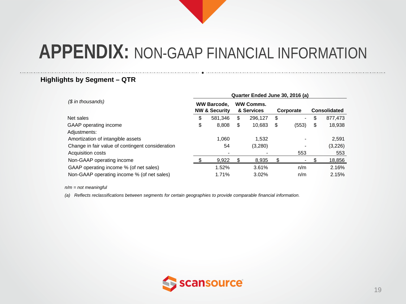#### **Highlights by Segment – QTR**

|                                                  | Quarter Ended June 30, 2016 (a) |                                                |    |                                |    |           |                     |         |  |  |  |  |  |
|--------------------------------------------------|---------------------------------|------------------------------------------------|----|--------------------------------|----|-----------|---------------------|---------|--|--|--|--|--|
| (\$ in thousands)                                |                                 | <b>WW Barcode.</b><br><b>NW &amp; Security</b> |    | <b>WW Comms.</b><br>& Services |    | Corporate | <b>Consolidated</b> |         |  |  |  |  |  |
| Net sales                                        | \$                              | 581.346                                        | \$ | 296,127                        | \$ | ۰.        | \$                  | 877,473 |  |  |  |  |  |
| GAAP operating income                            | \$                              | 8,808                                          | \$ | 10,683                         | \$ | (553)     | \$                  | 18,938  |  |  |  |  |  |
| Adjustments:                                     |                                 |                                                |    |                                |    |           |                     |         |  |  |  |  |  |
| Amortization of intangible assets                |                                 | 1.060                                          |    | 1.532                          |    |           |                     | 2,591   |  |  |  |  |  |
| Change in fair value of contingent consideration |                                 | 54                                             |    | (3,280)                        |    |           |                     | (3,226) |  |  |  |  |  |
| Acquisition costs                                |                                 |                                                |    |                                |    | 553       |                     | 553     |  |  |  |  |  |
| Non-GAAP operating income                        |                                 | 9.922                                          |    | 8,935                          |    |           |                     | 18,856  |  |  |  |  |  |
| GAAP operating income % (of net sales)           |                                 | 1.52%                                          |    | 3.61%                          |    | n/m       |                     | 2.16%   |  |  |  |  |  |
| Non-GAAP operating income % (of net sales)       |                                 | 1.71%                                          |    | 3.02%                          |    | n/m       |                     | 2.15%   |  |  |  |  |  |

*n/m = not meaningful*

*(a) Reflects reclassifications between segments for certain geographies to provide comparable financial information.*

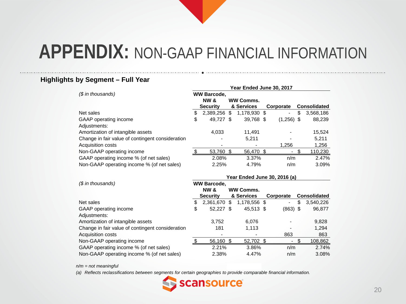#### **Highlights by Segment – Full Year**

|                                                  | Year Ended June 30, 2017 |                    |   |                  |  |                          |    |                     |  |  |
|--------------------------------------------------|--------------------------|--------------------|---|------------------|--|--------------------------|----|---------------------|--|--|
| (\$ in thousands)                                |                          | <b>WW Barcode.</b> |   |                  |  |                          |    |                     |  |  |
|                                                  |                          | <b>NW &amp;</b>    |   | <b>WW Comms.</b> |  |                          |    |                     |  |  |
|                                                  |                          | <b>Security</b>    |   | & Services       |  | Corporate                |    | <b>Consolidated</b> |  |  |
| Net sales                                        | S                        | 2,389,256          | S | 1,178,930 \$     |  | $\overline{\phantom{a}}$ | \$ | 3,568,186           |  |  |
| GAAP operating income                            | \$                       | 49,727 \$          |   | 39,768 \$        |  | $(1,256)$ \$             |    | 88,239              |  |  |
| Adjustments:                                     |                          |                    |   |                  |  |                          |    |                     |  |  |
| Amortization of intangible assets                |                          | 4.033              |   | 11.491           |  |                          |    | 15,524              |  |  |
| Change in fair value of contingent consideration |                          |                    |   | 5,211            |  |                          |    | 5,211               |  |  |
| Acquisition costs                                |                          |                    |   |                  |  | 1.256                    |    | 1,256               |  |  |
| Non-GAAP operating income                        |                          | 53,760 \$          |   | 56,470           |  |                          |    | 110,230             |  |  |
| GAAP operating income % (of net sales)           |                          | 2.08%              |   | 3.37%            |  | n/m                      |    | 2.47%               |  |  |
| Non-GAAP operating income % (of net sales)       |                          | 2.25%              |   | 4.79%            |  | n/m                      |    | 3.09%               |  |  |

|                                                  | Year Ended June 30, 2016 (a) |                    |     |                  |  |            |    |                     |  |  |  |  |  |  |
|--------------------------------------------------|------------------------------|--------------------|-----|------------------|--|------------|----|---------------------|--|--|--|--|--|--|
| (\$ in thousands)                                |                              | <b>WW Barcode,</b> |     |                  |  |            |    |                     |  |  |  |  |  |  |
|                                                  |                              | <b>NW &amp;</b>    |     | <b>WW Comms.</b> |  |            |    |                     |  |  |  |  |  |  |
|                                                  |                              | <b>Security</b>    |     | & Services       |  | Corporate  |    | <b>Consolidated</b> |  |  |  |  |  |  |
| Net sales                                        | S                            | 2,361,670          | \$. | 1,178,556 \$     |  | ٠          | \$ | 3,540,226           |  |  |  |  |  |  |
| GAAP operating income                            | \$                           | 52,227 \$          |     | 45,513 \$        |  | $(863)$ \$ |    | 96,877              |  |  |  |  |  |  |
| Adjustments:                                     |                              |                    |     |                  |  |            |    |                     |  |  |  |  |  |  |
| Amortization of intangible assets                |                              | 3,752              |     | 6,076            |  |            |    | 9,828               |  |  |  |  |  |  |
| Change in fair value of contingent consideration |                              | 181                |     | 1.113            |  |            |    | 1,294               |  |  |  |  |  |  |
| Acquisition costs                                |                              |                    |     |                  |  | 863        |    | 863                 |  |  |  |  |  |  |
| Non-GAAP operating income                        |                              | 56,160             | \$. | 52,702 \$        |  | ٠          |    | 108,862             |  |  |  |  |  |  |
| GAAP operating income % (of net sales)           |                              | 2.21%              |     | 3.86%            |  | n/m        |    | 2.74%               |  |  |  |  |  |  |
| Non-GAAP operating income % (of net sales)       |                              | 2.38%              |     | 4.47%            |  | n/m        |    | 3.08%               |  |  |  |  |  |  |

*n/m = not meaningful*

*(a) Reflects reclassifications between segments for certain geographies to provide comparable financial information.*

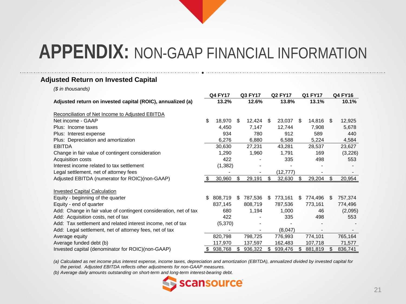#### **Adjusted Return on Invested Capital**

*(\$ in thousands)*

|                                                                   |    | <b>Q4 FY17</b> |     | Q3 FY17 |      | <b>Q2 FY17</b> |     | Q1 FY17 |      | <b>Q4 FY16</b> |
|-------------------------------------------------------------------|----|----------------|-----|---------|------|----------------|-----|---------|------|----------------|
| Adjusted return on invested capital (ROIC), annualized (a)        |    | 13.2%          |     | 12.6%   |      | 13.8%          |     | 13.1%   |      | 10.1%          |
| Reconciliation of Net Income to Adjusted EBITDA                   |    |                |     |         |      |                |     |         |      |                |
| Net income - GAAP                                                 | \$ | 18,970         | \$  | 12,424  | - \$ | 23,037         | \$. | 14,816  | \$   | 12,925         |
| Plus: Income taxes                                                |    | 4,450          |     | 7,147   |      | 12,744         |     | 7,908   |      | 5,678          |
| Plus: Interest expense                                            |    | 934            |     | 780     |      | 912            |     | 589     |      | 440            |
| Plus: Depreciation and amortization                               |    | 6,276          |     | 6,880   |      | 6,588          |     | 5,224   |      | 4,584          |
| <b>EBITDA</b>                                                     |    | 30,630         |     | 27,231  |      | 43,281         |     | 28,537  |      | 23,627         |
| Change in fair value of contingent consideration                  |    | 1,290          |     | 1,960   |      | 1,791          |     | 169     |      | (3,226)        |
| Acquisition costs                                                 |    | 422            |     |         |      | 335            |     | 498     |      | 553            |
| Interest income related to tax settlement                         |    | (1, 382)       |     |         |      |                |     |         |      |                |
| Legal settlement, net of attorney fees                            |    |                |     |         |      | (12,777)       |     |         |      |                |
| Adjusted EBITDA (numerator for ROIC)(non-GAAP)                    | S  | 30,960         | \$  | 29,191  | \$   | 32,630         | \$  | 29,204  | \$   | 20,954         |
| <b>Invested Capital Calculation</b>                               |    |                |     |         |      |                |     |         |      |                |
| Equity - beginning of the quarter                                 | \$ | 808,719        | \$. | 787,536 | \$.  | 773,161        | SS. | 774,496 | - \$ | 757,374        |
| Equity - end of quarter                                           |    | 837,145        |     | 808,719 |      | 787,536        |     | 773,161 |      | 774,496        |
| Add: Change in fair value of contingent consideration, net of tax |    | 680            |     | 1,194   |      | 1,000          |     | 46      |      | (2,095)        |
| Add: Acquisition costs, net of tax                                |    | 422            |     |         |      | 335            |     | 498     |      | 553            |
| Add: Tax settlement and related interest income, net of tax       |    | (5,370)        |     |         |      |                |     |         |      |                |
| Add: Legal settlement, net of attorney fees, net of tax           |    |                |     |         |      | (8,047)        |     |         |      |                |
| Average equity                                                    |    | 820,798        |     | 798,725 |      | 776,993        |     | 774,101 |      | 765,164        |
| Average funded debt (b)                                           |    | 117,970        |     | 137,597 |      | 162,483        |     | 107,718 |      | 71,577         |
| Invested capital (denominator for ROIC)(non-GAAP)                 |    | 938,768        | S   | 936,322 | S.   | 939,476        | \$. | 881,819 |      | 836,741        |

*(a) Calculated as net income plus interest expense, income taxes, depreciation and amortization (EBITDA), annualized divided by invested capital for the period. Adjusted EBITDA reflects other adjustments for non-GAAP measures.*

*(b) Average daily amounts outstanding on short-term and long-term interest-bearing debt.*